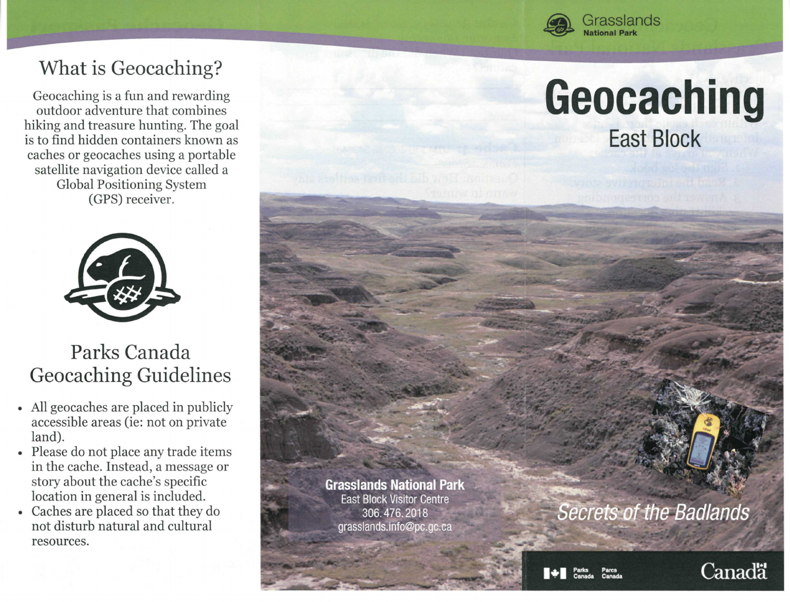

# What is Geocaching?

Geocaching is a fun and rewarding outdoor adventure that combines hiking and treasure hunting. The goal is to find hidden containers known as caches or geocaches using a portable satellite navigation device called a Global Positioning System (GPS) receiver.



## Parks Canada Geocaching Guidelines

- All geocaches are placed in publicly accessible areas (ie: not on private land).
- Please do not place any trade items in the cache. Instead, a message or story about the cache's specific location in general is included.
- Caches are placed so that they do not disturb natural and cultural resources.

**Geocaching**  East Block

#### **Grasslands National Park**  East Block Visitor Centre 306.476.2018 [grasslands.info@pc.gc.ca](mailto:grasslands.info@pc.gc.ca)

Secrets of the Badlands

**Pares Parks Canada**